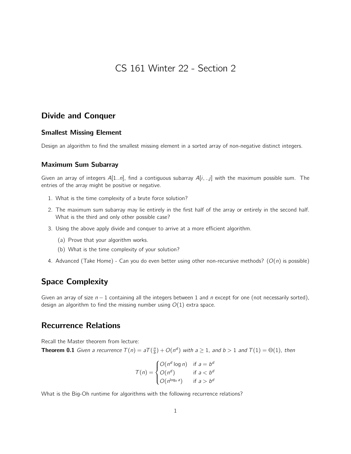CS 161 Winter 22 - Section 2

## Divide and Conquer

#### Smallest Missing Element

Design an algorithm to find the smallest missing element in a sorted array of non-negative distinct integers.

### Maximum Sum Subarray

Given an array of integers  $A[1..n]$ , find a contiguous subarray  $A[i,..j]$  with the maximum possible sum. The entries of the array might be positive or negative.

- 1. What is the time complexity of a brute force solution?
- 2. The maximum sum subarray may lie entirely in the first half of the array or entirely in the second half. What is the third and only other possible case?
- 3. Using the above apply divide and conquer to arrive at a more efficient algorithm.
	- (a) Prove that your algorithm works.
	- (b) What is the time complexity of your solution?
- 4. Advanced (Take Home) Can you do even better using other non-recursive methods?  $(O(n)$  is possible)

# Space Complexity

Given an array of size  $n - 1$  containing all the integers between 1 and n except for one (not necessarily sorted), design an algorithm to find the missing number using  $O(1)$  extra space.

## Recurrence Relations

Recall the Master theorem from lecture:

**Theorem 0.1** Given a recurrence  $T(n) = aT(\frac{n}{b}) + O(n^d)$  with  $a \ge 1$ , and  $b > 1$  and  $T(1) = \Theta(1)$ , then

$$
T(n) = \begin{cases} O(n^d \log n) & \text{if } a = b^d \\ O(n^d) & \text{if } a < b^d \\ O(n^{\log_b a}) & \text{if } a > b^d \end{cases}
$$

What is the Big-Oh runtime for algorithms with the following recurrence relations?